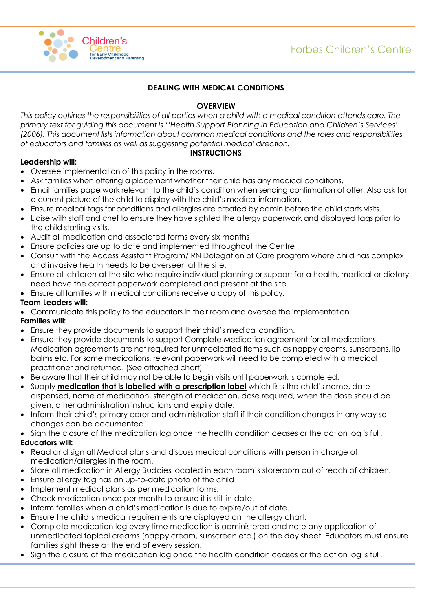

# **DEALING WITH MEDICAL CONDITIONS**

# **OVERVIEW**

*This policy outlines the responsibilities of all parties when a child with a medical condition attends care. The primary text for guiding this document is ''Health Support Planning in Education and Children's Services' (2006). This document lists information about common medical conditions and the roles and responsibilities of educators and families as well as suggesting potential medical direction.*

# **INSTRUCTIONS**

## **Leadership will:**

- Oversee implementation of this policy in the rooms.
- Ask families when offering a placement whether their child has any medical conditions.
- Email families paperwork relevant to the child's condition when sending confirmation of offer. Also ask for a current picture of the child to display with the child's medical information.
- Ensure medical tags for conditions and allergies are created by admin before the child starts visits.
- Liaise with staff and chef to ensure they have sighted the allergy paperwork and displayed tags prior to the child starting visits.
- Audit all medication and associated forms every six months
- Ensure policies are up to date and implemented throughout the Centre
- Consult with the Access Assistant Program/ RN Delegation of Care program where child has complex and invasive health needs to be overseen at the site.
- Ensure all children at the site who require individual planning or support for a health, medical or dietary need have the correct paperwork completed and present at the site
- Ensure all families with medical conditions receive a copy of this policy.

### **Team Leaders will:**

Communicate this policy to the educators in their room and oversee the implementation.

#### **Families will:**

- Ensure they provide documents to support their child's medical condition.
- Ensure they provide documents to support Complete Medication agreement for all medications. Medication agreements are not required for unmedicated items such as nappy creams, sunscreens, lip balms etc. For some medications, relevant paperwork will need to be completed with a medical practitioner and returned. (See attached chart)
- Be aware that their child may not be able to begin visits until paperwork is completed.
- Supply **medication that is labelled with a prescription label** which lists the child's name, date dispensed, name of medication, strength of medication, dose required, when the dose should be given, other administration instructions and expiry date.
- Inform their child's primary carer and administration staff if their condition changes in any way so changes can be documented.
- Sign the closure of the medication log once the health condition ceases or the action log is full. **Educators will:**
- Read and sign all Medical plans and discuss medical conditions with person in charge of medication/allergies in the room.
- Store all medication in Allergy Buddies located in each room's storeroom out of reach of children.
- Ensure allergy tag has an up-to-date photo of the child
- Implement medical plans as per medication forms.
- Check medication once per month to ensure it is still in date.
- Inform families when a child's medication is due to expire/out of date.
- Ensure the child's medical requirements are displayed on the allergy chart.
- Complete medication log every time medication is administered and note any application of unmedicated topical creams (nappy cream, sunscreen etc.) on the day sheet. Educators must ensure families sight these at the end of every session.
- Sign the closure of the medication log once the health condition ceases or the action log is full.